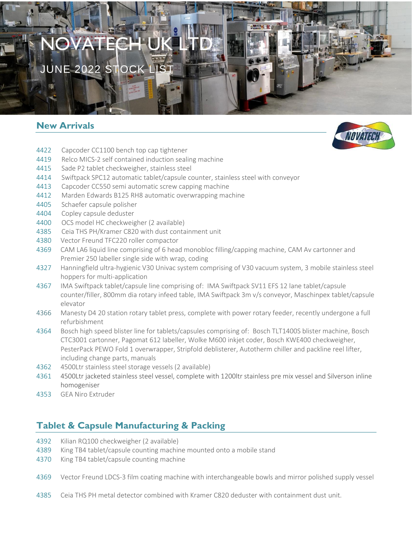# NOVATE EX

JUNE 2022 STOCK

## **New Arrivals**



- 4422 Capcoder CC1100 bench top cap tightener
- 4419 Relco MICS-2 self contained induction sealing machine
- 4415 Sade P2 tablet checkweigher, stainless steel
- 4414 Swiftpack SPC12 automatic tablet/capsule counter, stainless steel with conveyor
- 4413 Capcoder CC550 semi automatic screw capping machine
- 4412 Marden Edwards B125 RH8 automatic overwrapping machine
- 4405 Schaefer capsule polisher
- 4404 Copley capsule deduster
- 4400 OCS model HC checkweigher (2 available)
- 4385 Ceia THS PH/Kramer C820 with dust containment unit
- 4380 Vector Freund TFC220 roller compactor
- 4369 CAM LA6 liquid line comprising of 6 head monobloc filling/capping machine, CAM Av cartonner and Premier 250 labeller single side with wrap, coding
- 4327 Hanningfield ultra-hygienic V30 Univac system comprising of V30 vacuum system, 3 mobile stainless steel hoppers for multi-application
- 4367 IMA Swiftpack tablet/capsule line comprising of: IMA Swiftpack SV11 EFS 12 lane tablet/capsule counter/filler, 800mm dia rotary infeed table, IMA Swiftpack 3m v/s conveyor, Maschinpex tablet/capsule elevator
- 4366 Manesty D4 20 station rotary tablet press, complete with power rotary feeder, recently undergone a full refurbishment
- 4364 Bosch high speed blister line for tablets/capsules comprising of: Bosch TLT1400S blister machine, Bosch CTC3001 cartonner, Pagomat 612 labeller, Wolke M600 inkjet coder, Bosch KWE400 checkweigher, PesterPack PEWO Fold 1 overwrapper, Stripfold deblisterer, Autotherm chiller and packline reel lifter, including change parts, manuals
- 4362 4500Ltr stainless steel storage vessels (2 available)
- 4361 4500Ltr jacketed stainless steel vessel, complete with 1200ltr stainless pre mix vessel and Silverson inline homogeniser
- 4353 GEA Niro Extruder

# **Tablet & Capsule Manufacturing & Packing**

- 4392 Kilian RQ100 checkweigher (2 available)
- 4389 King TB4 tablet/capsule counting machine mounted onto a mobile stand
- 4370 King TB4 tablet/capsule counting machine
- 4369 Vector Freund LDCS-3 film coating machine with interchangeable bowls and mirror polished supply vessel
- 4385 Ceia THS PH metal detector combined with Kramer C820 deduster with containment dust unit.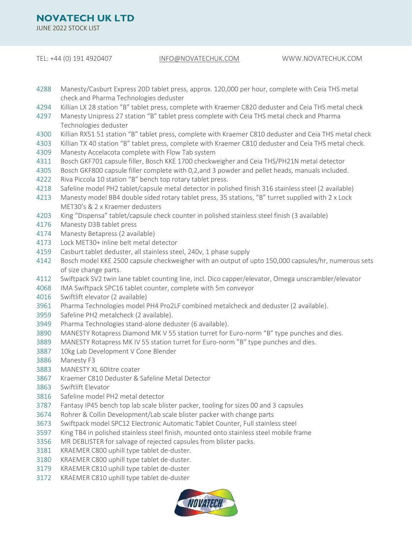JUNE 2022 STOCK LIST

TEL: +44 (0) 191 4920407 [INFO@NOVATECHUK.COM](mailto:INFO@NOVATECHUK.COM) WWW.NOVATECHUK.COM

- 4288 Manesty/Casburt Express 20D tablet press, approx. 120,000 per hour, complete with Ceia THS metal check and Pharma Technologies deduster
- 4294 Killian LX 28 station "B" tablet press, complete with Kraemer C820 deduster and Ceia THS metal check
- 4297 Manesty Unipress 27 station "B" tablet press complete with Ceia THS metal check and Pharma Technologies deduster
- 4300 Killian RX51 51 station "B" tablet press, complete with Kraemer C810 deduster and Ceia THS metal check
- 4303 Killian TX 40 station "B" tablet press, complete with Kraemer C810 deduster and Ceia THS metal check.
- 4309 Manesty Accelacota complete with Flow Tab system
- 4311 Bosch GKF701 capsule filler, Bosch KKE 1700 checkweigher and Ceia THS/PH21N metal detector
- 4305 Bosch GKF800 capsule filler complete with 0,2,and 3 powder and pellet heads, manuals included.
- 4222 Riva Piccola 10 station "B" bench top rotary tablet press.
- 4218 Safeline model PH2 tablet/capsule metal detector in polished finish 316 stainless steel (2 available)
- 4213 Manesty model BB4 double sided rotary tablet press, 35 stations, "B" turret supplied with 2 x Lock MET30's & 2 x Kraemer dedusters
- 4203 King "Dispensa" tablet/capsule check counter in polished stainless steel finish (3 available)
- 4176 Manesty D3B tablet press
- 4174 Manesty Betapress (2 available)
- 4173 Lock MET30+ inline belt metal detector
- 4159 Casburt tablet deduster, all stainless steel, 240v, 1 phase supply
- 4142 Bosch model KKE 2500 capsule checkweigher with an output of upto 150,000 capsules/hr, numerous sets of size change parts.
- 4112 Swiftpack SV2 twin lane tablet counting line, incl. Dico capper/elevator, Omega unscrambler/elevator
- 4068 IMA Swiftpack SPC16 tablet counter, complete with 5m conveyor
- 4016 Swiftlift elevator (2 available)
- 3961 Pharma Technologies model PH4 Pro2LF combined metalcheck and deduster (2 available).
- 3959 Safeline PH2 metalcheck (2 available).
- 3949 Pharma Technologies stand-alone deduster (6 available).
- 3890 MANESTY Rotapress Diamond MK V 55 station turret for Euro-norm "B" type punches and dies.
- 3889 MANESTY Rotapress MK IV 55 station turret for Euro-norm "B" type punches and dies.
- 3887 10kg Lab Development V Cone Blender
- 3886 Manesty F3
- 3883 MANESTY XL 60litre coater
- 3867 Kraemer C810 Deduster & Safeline Metal Detector
- 3863 Swiftlift Elevator
- 3816 Safeline model PH2 metal detector
- 3787 Fantasy IP45 bench top lab scale blister packer, tooling for sizes 00 and 3 capsules
- 3674 Rohrer & Collin Development/Lab scale blister packer with change parts
- 3673 Swiftpack model SPC12 Electronic Automatic Tablet Counter, Full stainless steel
- 3597 King TB4 in polished stainless steel finish, mounted onto stainless steel mobile frame
- 3356 MR DEBLISTER for salvage of rejected capsules from blister packs.
- 3181 KRAEMER C800 uphill type tablet de-duster.
- 3180 KRAEMER C800 uphill type tablet de-duster.
- 3179 KRAEMER C810 uphill type tablet de-duster
- 3172 KRAEMER C810 uphill type tablet de-duster

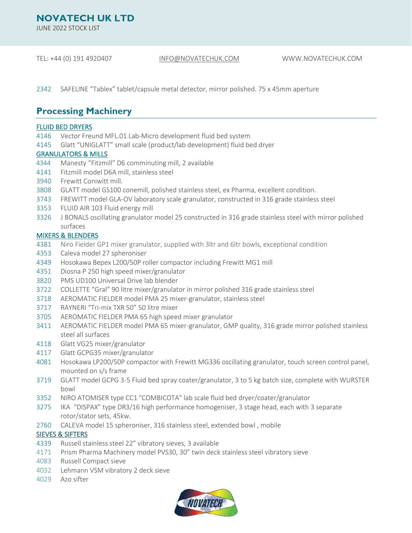JUNE 2022 STOCK LIST

TEL: +44 (0) 191 4920407 [INFO@NOVATECHUK.COM](mailto:INFO@NOVATECHUK.COM) WWW.NOVATECHUK.COM

2342 SAFELINE "Tablex" tablet/capsule metal detector, mirror polished. 75 x 45mm aperture

## **Processing Machinery**

#### FLUID BED DRYERS

- 4146 Vector Freund MFL.01 Lab-Micro development fluid bed system
- 4145 Glatt "UNIGLATT" small scale (product/lab development) fluid bed dryer

### GRANULATORS & MILLS

- 4344 Manesty "Fitzmill" D6 comminuting mill, 2 available
- 4141 Fitzmill model D6A mill, stainless steel
- 3940 Frewitt Coniwitt mill.
- 3808 GLATT model GS100 conemill, polished stainless steel, ex Pharma, excellent condition.
- 3743 FREWITT model GLA-OV laboratory scale granulator, constructed in 316 grade stainless steel
- 3353 FLUID AIR 103 Fluid energy mill
- 3326 J BONALS oscillating granulator model 25 constructed in 316 grade stainless steel with mirror polished surfaces

### MIXERS & BLENDERS

- 4381 Niro Fielder GP1 mixer granulator, supplied with 3ltr and 6ltr bowls, exceptional condition
- 4353 Caleva model 27 spheroniser
- 4349 Hosokawa Bepex L200/50P roller compactor including Frewitt MG1 mill
- 4351 Diosna P 250 high speed mixer/granulator
- 3820 PMS UD100 Universal Drive lab blender
- 3722 COLLETTE "Gral" 90 litre mixer/granulator in mirror polished 316 grade stainless steel
- 3718 AEROMATIC FIELDER model PMA 25 mixer-granulator, stainless steel
- 3717 RAYNERI "Tri-mix TXR 50" 50 litre mixer
- 3705 AEROMATIC FIELDER PMA 65 high speed mixer granulator
- 3411 AEROMATIC FIELDER model PMA 65 mixer-granulator, GMP quality, 316 grade mirror polished stainless steel all surfaces
- 4118 Glatt VG25 mixer/granulator
- 4117 Glatt GCPG35 mixer/granulator
- 4081 Hosokawa LP200/50P compactor with Frewitt MG336 oscillating granulator, touch screen control panel, mounted on s/s frame
- 3719 GLATT model GCPG 3-5 Fluid bed spray coater/granulator, 3 to 5 kg batch size, complete with WURSTER bowl
- 3352 NIRO ATOMISER type CC1 "COMBICOTA" lab scale fluid bed dryer/coater/granulator
- 3275 IKA "DISPAX" type DR3/16 high performance homogeniser, 3 stage head, each with 3 separate rotor/stator sets, 45kw.
- 2760 CALEVA model 15 spheroniser, 316 stainless steel, extended bowl , mobile

## SIEVES & SIFTERS

- 4339 Russell stainless steel 22" vibratory sieves, 3 available
- 4171 Prism Pharma Machinery model PVS30, 30" twin deck stainless steel vibratory sieve
- 4083 Russell Compact sieve
- 4032 Lehmann VSM vibratory 2 deck sieve
- 4029 Azo sifter

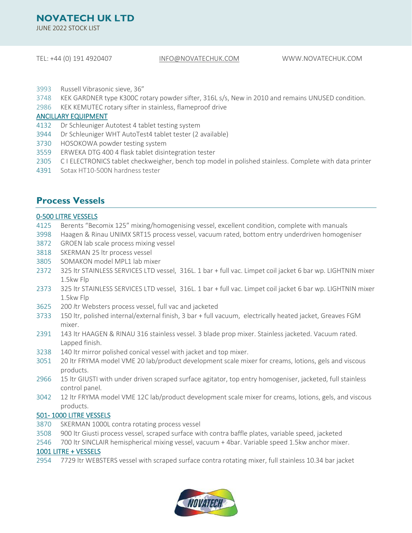JUNE 2022 STOCK LIST

#### TEL: +44 (0) 191 4920407 [INFO@NOVATECHUK.COM](mailto:INFO@NOVATECHUK.COM) WWW.NOVATECHUK.COM

- 3993 Russell Vibrasonic sieve, 36"
- 3748 KEK GARDNER type K300C rotary powder sifter, 316L s/s, New in 2010 and remains UNUSED condition.
- 2986 KEK KEMUTEC rotary sifter in stainless, flameproof drive

#### ANCILLARY EQUIPMENT

- 4132 Dr Schleuniger Autotest 4 tablet testing system
- 3944 Dr Schleuniger WHT AutoTest4 tablet tester (2 available)
- 3730 HOSOKOWA powder testing system
- 3559 ERWEKA DTG 400 4 flask tablet disintegration tester
- 2305 C I ELECTRONICS tablet checkweigher, bench top model in polished stainless. Complete with data printer
- 4391 Sotax HT10-500N hardness tester

## **Process Vessels**

#### 0-500 LITRE VESSELS

- 4125 Berents "Becomix 125" mixing/homogenising vessel, excellent condition, complete with manuals
- 3998 Haagen & Rinau UNIMX SRT15 process vessel, vacuum rated, bottom entry underdriven homogeniser
- 3872 GROEN lab scale process mixing vessel
- 3818 SKERMAN 25 ltr process vessel
- 3805 SOMAKON model MPL1 lab mixer
- 2372 325 ltr STAINLESS SERVICES LTD vessel, 316L. 1 bar + full vac. Limpet coil jacket 6 bar wp. LIGHTNIN mixer 1.5kw Flp
- 2373 325 ltr STAINLESS SERVICES LTD vessel, 316L. 1 bar + full vac. Limpet coil jacket 6 bar wp. LIGHTNIN mixer 1.5kw Flp
- 3625 200 *l*tr Websters process vessel, full vac and jacketed
- 3733 150 ltr, polished internal/external finish, 3 bar + full vacuum, electrically heated jacket, Greaves FGM mixer.
- 2391 143 ltr HAAGEN & RINAU 316 stainless vessel. 3 blade prop mixer. Stainless jacketed. Vacuum rated. Lapped finish.
- 3238 140 ltr mirror polished conical vessel with jacket and top mixer.
- 3051 20 ltr FRYMA model VME 20 lab/product development scale mixer for creams, lotions, gels and viscous products.
- 2966 15 ltr GIUSTI with under driven scraped surface agitator, top entry homogeniser, jacketed, full stainless control panel.
- 3042 12 ltr FRYMA model VME 12C lab/product development scale mixer for creams, lotions, gels, and viscous products.

#### 501- 1000 LITRE VESSELS

- 3870 SKERMAN 1000L contra rotating process vessel
- 3508 900 ltr Giusti process vessel, scraped surface with contra baffle plates, variable speed, jacketed
- 2546 700 ltr SINCLAIR hemispherical mixing vessel, vacuum + 4bar. Variable speed 1.5kw anchor mixer.

#### 1001 LITRE + VESSELS

2954 7729 ltr WEBSTERS vessel with scraped surface contra rotating mixer, full stainless 10.34 bar jacket

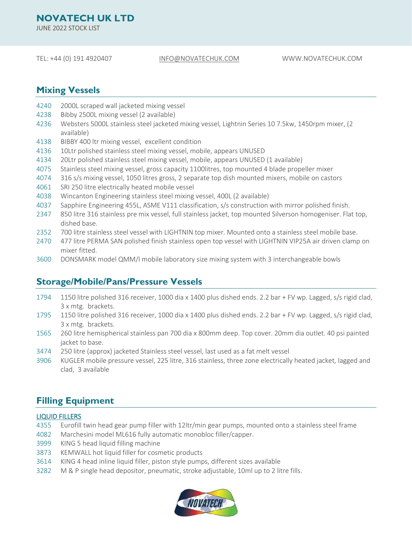JUNE 2022 STOCK LIST

#### TEL: +44 (0) 191 4920407 [INFO@NOVATECHUK.COM](mailto:INFO@NOVATECHUK.COM) WWW.NOVATECHUK.COM

## **Mixing Vessels**

- 4240 2000L scraped wall jacketed mixing vessel
- 4238 Bibby 2500L mixing vessel (2 available)
- 4236 Websters 5000L stainless steel jacketed mixing vessel, Lightnin Series 10 7.5kw, 1450rpm mixer, (2 available)
- 4138 BIBBY 400 ltr mixing vessel, excellent condition
- 4136 10Ltr polished stainless steel mixing vessel, mobile, appears UNUSED
- 4134 20Ltr polished stainless steel mixing vessel, mobile, appears UNUSED (1 available)
- 4075 Stainless steel mixing vessel, gross capacity 1100litres, top mounted 4 blade propeller mixer
- 4074 316 s/s mixing vessel, 1050 litres gross, 2 separate top dish mounted mixers, mobile on castors
- 4061 SRI 250 litre electrically heated mobile vessel
- 4038 Wincanton Engineering stainless steel mixing vessel, 400L (2 available)
- 4037 Sapphire Engineering 455L, ASME V111 classification, s/s construction with mirror polished finish.
- 2347 850 litre 316 stainless pre mix vessel, full stainless jacket, top mounted Silverson homogeniser. Flat top, dished base.
- 2352 700 litre stainless steel vessel with LIGHTNIN top mixer. Mounted onto a stainless steel mobile base.
- 2470 477 litre PERMA SAN polished finish stainless open top vessel with LIGHTNIN VIP25A air driven clamp on mixer fitted.
- 3600 DONSMARK model QMM/I mobile laboratory size mixing system with 3 interchangeable bowls

## **Storage/Mobile/Pans/Pressure Vessels**

- 1794 1150 litre polished 316 receiver, 1000 dia x 1400 plus dished ends. 2.2 bar + FV wp. Lagged, s/s rigid clad, 3 x mtg. brackets.
- 1795 1150 litre polished 316 receiver, 1000 dia x 1400 plus dished ends. 2.2 bar + FV wp. Lagged, s/s rigid clad, 3 x mtg. brackets.
- 1565 260 litre hemispherical stainless pan 700 dia x 800mm deep. Top cover. 20mm dia outlet. 40 psi painted jacket to base.
- 3474 250 litre (approx) jacketed Stainless steel vessel, last used as a fat melt vessel
- 3906 KUGLER mobile pressure vessel, 225 litre, 316 stainless, three zone electrically heated jacket, lagged and clad, 3 available

## **Filling Equipment**

#### LIQUID FILLERS

- 4355 Eurofill twin head gear pump filler with 12ltr/min gear pumps, mounted onto a stainless steel frame
- 4082 Marchesini model ML616 fully automatic monobloc filler/capper.
- 3999 KING 5 head liquid filling machine
- 3873 KEMWALL hot liquid filler for cosmetic products
- 3614 KING 4 head inline liquid filler, piston style pumps, different sizes available
- 3282 M & P single head depositor, pneumatic, stroke adjustable, 10ml up to 2 litre fills.

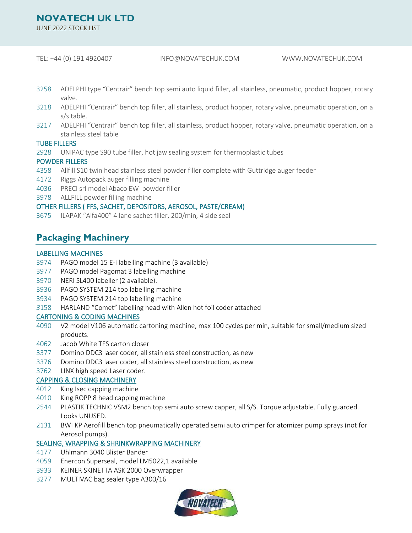JUNE 2022 STOCK LIST

#### TEL: +44 (0) 191 4920407 [INFO@NOVATECHUK.COM](mailto:INFO@NOVATECHUK.COM) WWW.NOVATECHUK.COM

- 3258 ADELPHI type "Centrair" bench top semi auto liquid filler, all stainless, pneumatic, product hopper, rotary valve.
- 3218 ADELPHI "Centrair" bench top filler, all stainless, product hopper, rotary valve, pneumatic operation, on a s/s table.
- 3217 ADELPHI "Centrair" bench top filler, all stainless, product hopper, rotary valve, pneumatic operation, on a stainless steel table

#### TUBE FILLERS

2928 UNIPAC type S90 tube filler, hot jaw sealing system for thermoplastic tubes

#### POWDER FILLERS

- 4358 Allfill S10 twin head stainless steel powder filler complete with Guttridge auger feeder
- 4172 Riggs Autopack auger filling machine
- 4036 PRECI srl model Abaco EW powder filler
- 3978 ALLFILL powder filling machine

#### OTHER FILLERS ( FFS, SACHET, DEPOSITORS, AEROSOL, PASTE/CREAM)

3675 ILAPAK "Alfa400" 4 lane sachet filler, 200/min, 4 side seal

## **Packaging Machinery**

#### LABELLING MACHINES

- 3974 PAGO model 15 E-i labelling machine (3 available)
- 3977 PAGO model Pagomat 3 labelling machine
- 3970 NERI SL400 labeller (2 available).
- 3936 PAGO SYSTEM 214 top labelling machine
- 3934 PAGO SYSTEM 214 top labelling machine
- *3*158 HARLAND "Comet" labelling head with Allen hot foil coder attached

#### CARTONING & CODING MACHINES

- 4090 V2 model V106 automatic cartoning machine, max 100 cycles per min, suitable for small/medium sized products.
- 4062 Jacob White TFS carton closer
- 3377 Domino DDC3 laser coder, all stainless steel construction, as new
- 3376 Domino DDC3 laser coder, all stainless steel construction, as new
- 3762 LINX high speed Laser coder.

#### CAPPING & CLOSING MACHINERY

- 4012 King Isec capping machine
- 4010 King ROPP 8 head capping machine
- 2544 PLASTIK TECHNIC VSM2 bench top semi auto screw capper, all S/S. Torque adjustable. Fully guarded. Looks UNUSED.
- 2131 BWI KP Aerofill bench top pneumatically operated semi auto crimper for atomizer pump sprays (not for Aerosol pumps).

#### SEALING, WRAPPING & SHRINKWRAPPING MACHINERY

- 4177 Uhlmann 3040 Blister Bander
- 4059 Enercon Superseal, model LM5022,1 available
- 3933 KEINER SKINETTA ASK 2000 Overwrapper
- 3277 MULTIVAC bag sealer type A300/16

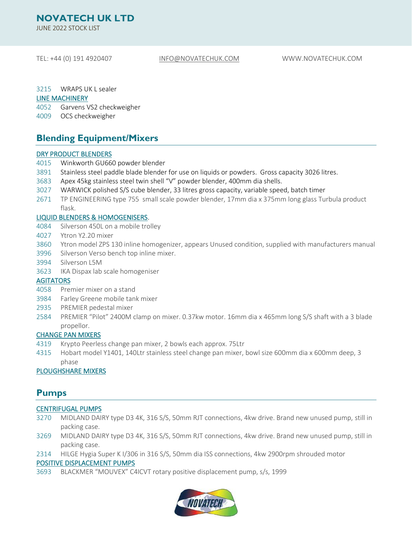JUNE 2022 STOCK LIST

TEL: +44 (0) 191 4920407 [INFO@NOVATECHUK.COM](mailto:INFO@NOVATECHUK.COM) WWW.NOVATECHUK.COM

3215 WRAPS UK L sealer

#### LINE MACHINERY

4052 Garvens VS2 checkweigher

4009 OCS checkweigher

## **Blending Equipment/Mixers**

#### DRY PRODUCT BLENDERS

- 4015 Winkworth GU660 powder blender
- 3891 Stainless steel paddle blade blender for use on liquids or powders. Gross capacity 3026 litres.
- 3683 Apex 45kg stainless steel twin shell "V" powder blender, 400mm dia shells.
- 3027 WARWICK polished S/S cube blender, 33 litres gross capacity, variable speed, batch timer
- 2671 TP ENGINEERING type 755 small scale powder blender, 17mm dia x 375mm long glass Turbula product flask.

#### LIQUID BLENDERS & HOMOGENISERS.

- 4084 Silverson 450L on a mobile trolley
- 4027 Ytron Y2.20 mixer
- 3860 Ytron model ZPS 130 inline homogenizer, appears Unused condition, supplied with manufacturers manual
- 3996 Silverson Verso bench top inline mixer.
- 3994 Silverson L5M
- 3623 IKA Dispax lab scale homogeniser

### **AGITATORS**

- 4058 Premier mixer on a stand
- 3984 Farley Greene mobile tank mixer
- 2935 PREMIER pedestal mixer
- 2584 PREMIER "Pilot" 2400M clamp on mixer. 0.37kw motor. 16mm dia x 465mm long S/S shaft with a 3 blade propellor.

#### CHANGE PAN MIXERS

- 4319 Krypto Peerless change pan mixer, 2 bowls each approx. 75Ltr
- 4315 Hobart model Y1401, 140Ltr stainless steel change pan mixer, bowl size 600mm dia x 600mm deep, 3 phase

#### PLOUGHSHARE MIXERS

## **Pumps**

#### CENTRIFUGAL PUMPS

- 3270 MIDLAND DAIRY type D3 4K, 316 S/S, 50mm RJT connections, 4kw drive. Brand new unused pump, still in packing case.
- 3269 MIDLAND DAIRY type D3 4K, 316 S/S, 50mm RJT connections, 4kw drive. Brand new unused pump, still in packing case.
- 2314 HILGE Hygia Super K I/306 in 316 S/S, 50mm dia ISS connections, 4kw 2900rpm shrouded motor

#### POSITIVE DISPLACEMENT PUMPS

3693 BLACKMER "MOUVEX" C4ICVT rotary positive displacement pump, s/s, 1999

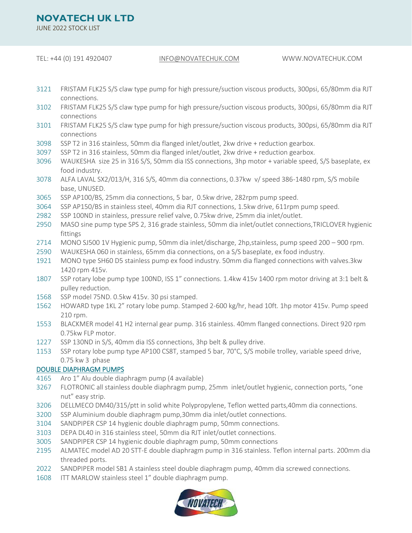JUNE 2022 STOCK LIST

TEL: +44 (0) 191 4920407 [INFO@NOVATECHUK.COM](mailto:INFO@NOVATECHUK.COM) WWW.NOVATECHUK.COM

- 3121 FRISTAM FLK25 S/S claw type pump for high pressure/suction viscous products, 300psi, 65/80mm dia RJT connections.
- FRISTAM FLK25 S/S claw type pump for high pressure/suction viscous products, 300psi, 65/80mm dia RJT connections
- FRISTAM FLK25 S/S claw type pump for high pressure/suction viscous products, 300psi, 65/80mm dia RJT connections
- SSP T2 in 316 stainless, 50mm dia flanged inlet/outlet, 2kw drive + reduction gearbox.
- SSP T2 in 316 stainless, 50mm dia flanged inlet/outlet, 2kw drive + reduction gearbox.
- WAUKESHA size 25 in 316 S/S, 50mm dia ISS connections, 3hp motor + variable speed, S/S baseplate, ex food industry.
- ALFA LAVAL SX2/013/H, 316 S/S, 40mm dia connections, 0.37kw v/ speed 386-1480 rpm, S/S mobile base, UNUSED.
- SSP AP100/BS, 25mm dia connections, 5 bar, 0.5kw drive, 282rpm pump speed.
- SSP AP150/BS in stainless steel, 40mm dia RJT connections, 1.5kw drive, 611rpm pump speed.
- SSP 100ND in stainless, pressure relief valve, 0.75kw drive, 25mm dia inlet/outlet.
- MASO sine pump type SPS 2, 316 grade stainless, 50mm dia inlet/outlet connections,TRICLOVER hygienic fittings
- MONO SJ500 1V Hygienic pump, 50mm dia inlet/discharge, 2hp,stainless, pump speed 200 900 rpm.
- WAUKESHA 060 in stainless, 65mm dia connections, on a S/S baseplate, ex food industry.
- MONO type SH60 D5 stainless pump ex food industry. 50mm dia flanged connections with valves.3kw 1420 rpm 415v.
- SSP rotary lobe pump type 100ND, ISS 1" connections. 1.4kw 415v 1400 rpm motor driving at 3:1 belt & pulley reduction.
- SSP model 75ND. 0.5kw 415v. 30 psi stamped.
- HOWARD type 1KL 2" rotary lobe pump. Stamped 2-600 kg/hr, head 10ft. 1hp motor 415v. Pump speed 210 rpm.
- BLACKMER model 41 H2 internal gear pump. 316 stainless. 40mm flanged connections. Direct 920 rpm 0.75kw FLP motor.
- SSP 130ND in S/S, 40mm dia ISS connections, 3hp belt & pulley drive.
- SSP rotary lobe pump type AP100 CS8T, stamped 5 bar, 70°C, S/S mobile trolley, variable speed drive, 0.75 kw 3 phase

#### DOUBLE DIAPHRAGM PUMPS

- Aro 1" Alu double diaphragm pump (4 available)
- FLOTRONIC all stainless double diaphragm pump, 25mm inlet/outlet hygienic, connection ports, "one nut" easy strip.
- DELLMECO DM40/315/ptt in solid white Polypropylene, Teflon wetted parts,40mm dia connections.
- SSP Aluminium double diaphragm pump,30mm dia inlet/outlet connections.
- SANDPIPER CSP 14 hygienic double diaphragm pump, 50mm connections.
- DEPA DL40 in 316 stainless steel, 50mm dia RJT inlet/outlet connections.
- SANDPIPER CSP 14 hygienic double diaphragm pump, 50mm connections
- ALMATEC model AD 20 STT-E double diaphragm pump in 316 stainless. Teflon internal parts. 200mm dia threaded ports.
- SANDPIPER model SB1 A stainless steel double diaphragm pump, 40mm dia screwed connections.
- ITT MARLOW stainless steel 1" double diaphragm pump.